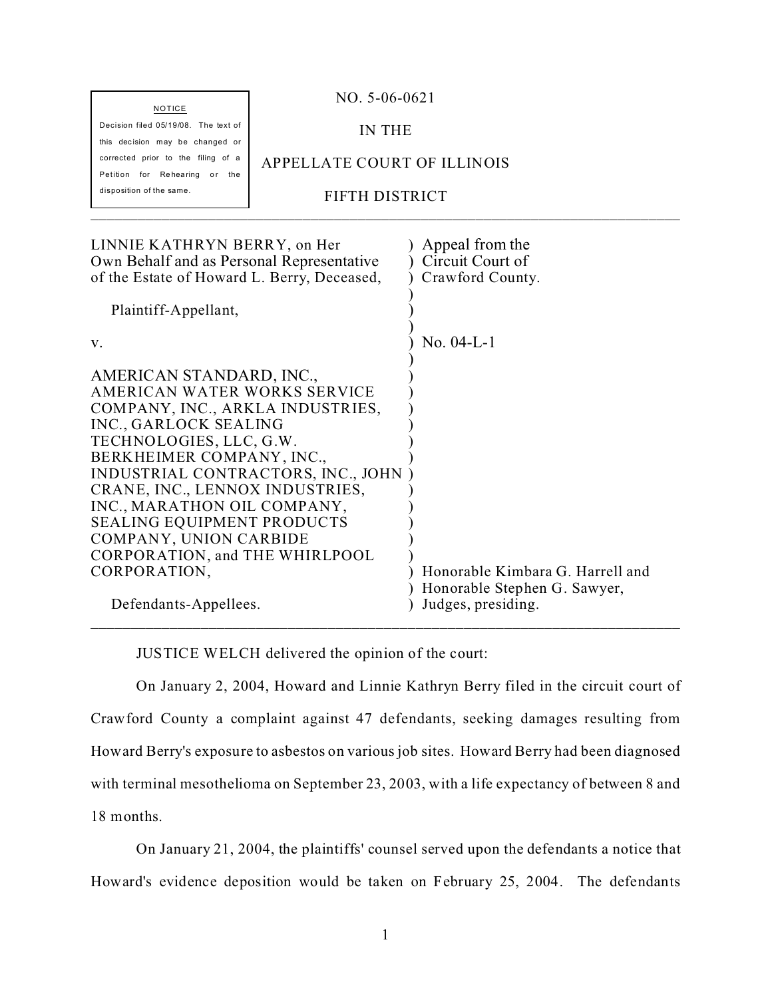| <b>NOTICE</b>                                                         | $NO. 5-06-0621$             |  |
|-----------------------------------------------------------------------|-----------------------------|--|
| Decision filed 05/19/08. The text of                                  | IN THE                      |  |
| this decision may be changed or<br>corrected prior to the filing of a | APPELLATE COURT OF ILLINOIS |  |
| Petition for Rehearing or<br>the                                      |                             |  |
| disposition of the same.                                              | FIFTH DISTRICT              |  |
|                                                                       |                             |  |

| $No. 04-L-1$                                                                           |
|----------------------------------------------------------------------------------------|
| Honorable Kimbara G. Harrell and<br>Honorable Stephen G. Sawyer,<br>Judges, presiding. |
|                                                                                        |

JUSTICE WELCH delivered the opinion of the court:

On January 2, 2004, Howard and Linnie Kathryn Berry filed in the circuit court of Crawford County a complaint against 47 defendants, seeking damages resulting from Howard Berry's exposure to asbestos on various job sites. Howard Berry had been diagnosed with terminal mesothelioma on September 23, 2003, with a life expectancy of between 8 and 18 months.

On January 21, 2004, the plaintiffs' counsel served upon the defendants a notice that Howard's evidence deposition would be taken on February 25, 2004. The defendants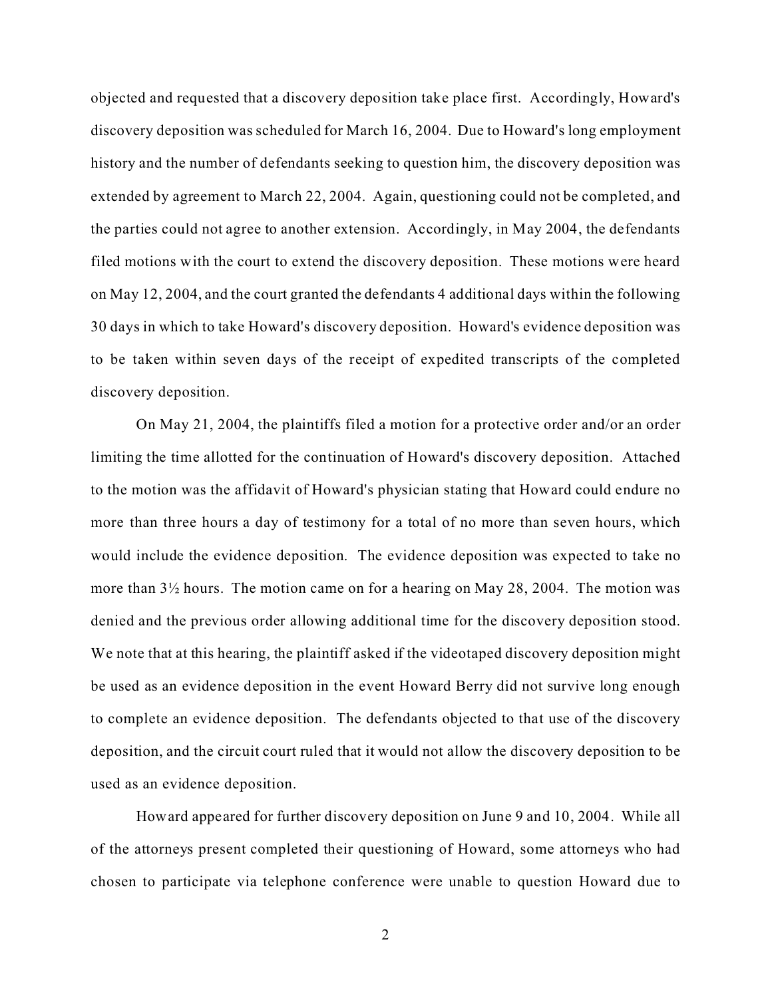objected and requested that a discovery deposition take place first. Accordingly, Howard's discovery deposition was scheduled for March 16, 2004. Due to Howard's long employment history and the number of defendants seeking to question him, the discovery deposition was extended by agreement to March 22, 2004. Again, questioning could not be completed, and the parties could not agree to another extension. Accordingly, in May 2004, the defendants filed motions with the court to extend the discovery deposition. These motions were heard on May 12, 2004, and the court granted the defendants 4 additional days within the following 30 days in which to take Howard's discovery deposition. Howard's evidence deposition was to be taken within seven days of the receipt of expedited transcripts of the completed discovery deposition.

On May 21, 2004, the plaintiffs filed a motion for a protective order and/or an order limiting the time allotted for the continuation of Howard's discovery deposition. Attached to the motion was the affidavit of Howard's physician stating that Howard could endure no more than three hours a day of testimony for a total of no more than seven hours, which would include the evidence deposition. The evidence deposition was expected to take no more than 3½ hours. The motion came on for a hearing on May 28, 2004. The motion was denied and the previous order allowing additional time for the discovery deposition stood. We note that at this hearing, the plaintiff asked if the videotaped discovery deposition might be used as an evidence deposition in the event Howard Berry did not survive long enough to complete an evidence deposition. The defendants objected to that use of the discovery deposition, and the circuit court ruled that it would not allow the discovery deposition to be used as an evidence deposition.

Howard appeared for further discovery deposition on June 9 and 10, 2004. While all of the attorneys present completed their questioning of Howard, some attorneys who had chosen to participate via telephone conference were unable to question Howard due to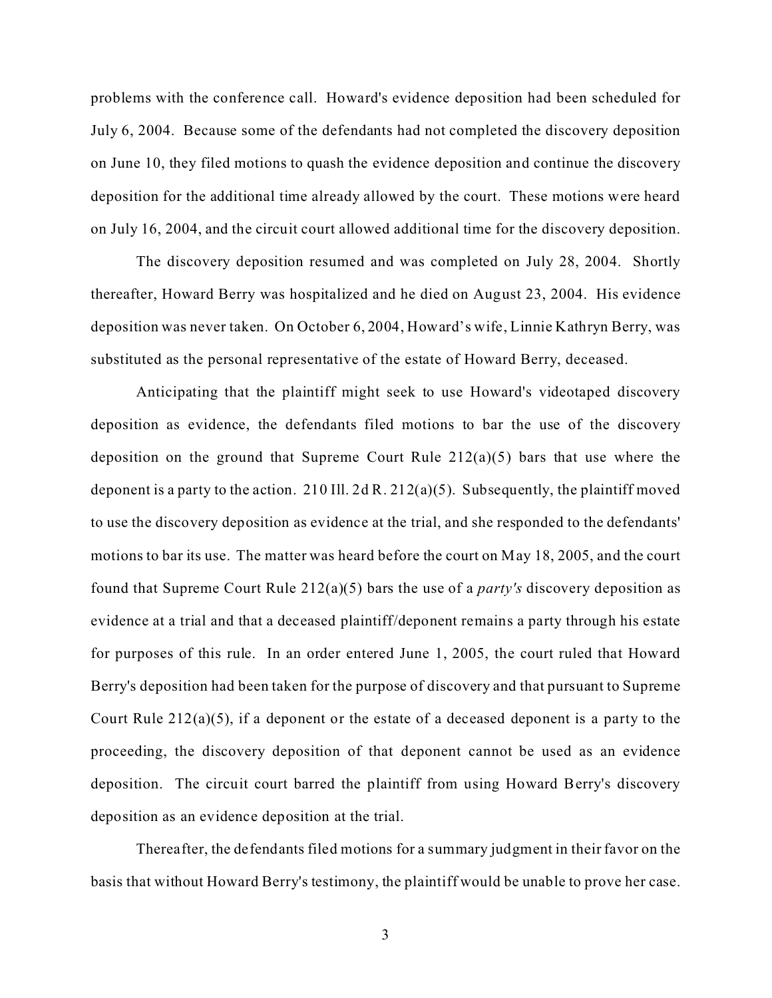problems with the conference call. Howard's evidence deposition had been scheduled for July 6, 2004. Because some of the defendants had not completed the discovery deposition on June 10, they filed motions to quash the evidence deposition and continue the discovery deposition for the additional time already allowed by the court. These motions were heard on July 16, 2004, and the circuit court allowed additional time for the discovery deposition.

The discovery deposition resumed and was completed on July 28, 2004. Shortly thereafter, Howard Berry was hospitalized and he died on August 23, 2004. His evidence deposition was never taken. On October 6, 2004, Howard's wife, Linnie Kathryn Berry, was substituted as the personal representative of the estate of Howard Berry, deceased.

Anticipating that the plaintiff might seek to use Howard's videotaped discovery deposition as evidence, the defendants filed motions to bar the use of the discovery deposition on the ground that Supreme Court Rule 212(a)(5) bars that use where the deponent is a party to the action. 210 Ill. 2d R.  $212(a)(5)$ . Subsequently, the plaintiff moved to use the discovery deposition as evidence at the trial, and she responded to the defendants' motions to bar its use. The matter was heard before the court on May 18, 2005, and the court found that Supreme Court Rule 212(a)(5) bars the use of a *party's* discovery deposition as evidence at a trial and that a deceased plaintiff/deponent remains a party through his estate for purposes of this rule. In an order entered June 1, 2005, the court ruled that Howard Berry's deposition had been taken for the purpose of discovery and that pursuant to Supreme Court Rule  $212(a)(5)$ , if a deponent or the estate of a deceased deponent is a party to the proceeding, the discovery deposition of that deponent cannot be used as an evidence deposition. The circuit court barred the plaintiff from using Howard Berry's discovery deposition as an evidence deposition at the trial.

Thereafter, the defendants filed motions for a summary judgment in their favor on the basis that without Howard Berry's testimony, the plaintiff would be unable to prove her case.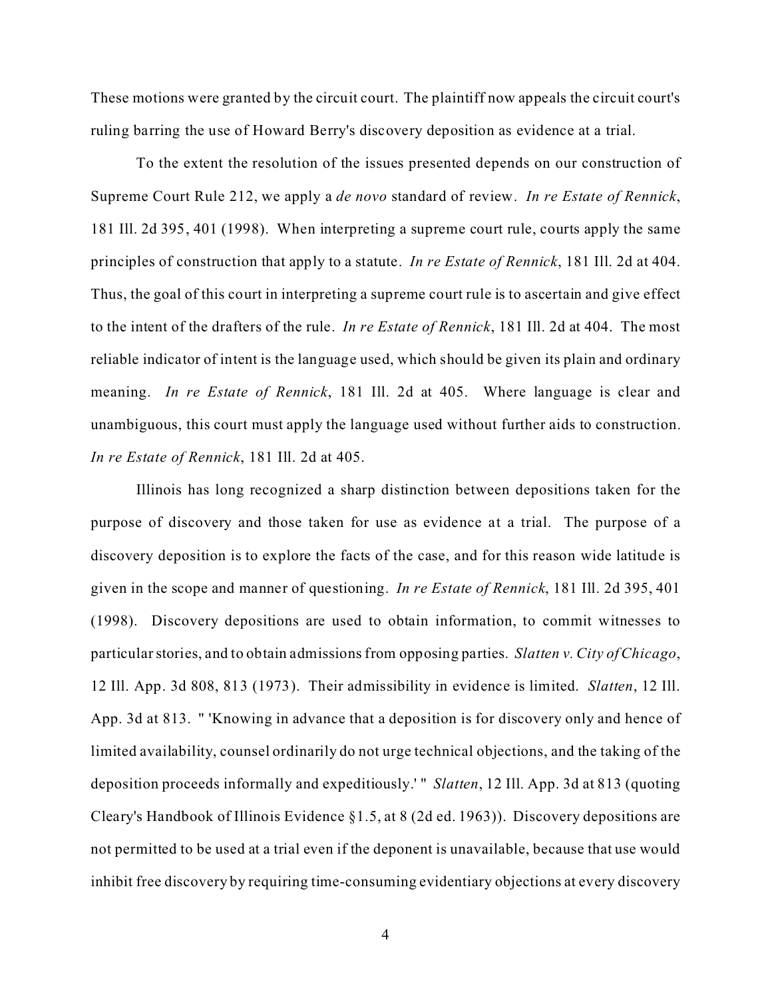These motions were granted by the circuit court. The plaintiff now appeals the circuit court's ruling barring the use of Howard Berry's discovery deposition as evidence at a trial.

To the extent the resolution of the issues presented depends on our construction of Supreme Court Rule 212, we apply a *de novo* standard of review. *In re Estate of Rennick*, 181 Ill. 2d 395, 401 (1998). When interpreting a supreme court rule, courts apply the same principles of construction that apply to a statute. *In re Estate of Rennick*, 181 Ill. 2d at 404. Thus, the goal of this court in interpreting a supreme court rule is to ascertain and give effect to the intent of the drafters of the rule. *In re Estate of Rennick*, 181 Ill. 2d at 404. The most reliable indicator of intent is the language used, which should be given its plain and ordinary meaning. *In re Estate of Rennick*, 181 Ill. 2d at 405. Where language is clear and unambiguous, this court must apply the language used without further aids to construction. *In re Estate of Rennick*, 181 Ill. 2d at 405.

Illinois has long recognized a sharp distinction between depositions taken for the purpose of discovery and those taken for use as evidence at a trial. The purpose of a discovery deposition is to explore the facts of the case, and for this reason wide latitude is given in the scope and manner of questioning. *In re Estate of Rennick*, 181 Ill. 2d 395, 401 (1998). Discovery depositions are used to obtain information, to commit witnesses to particular stories, and to obtain admissions from opposing parties. *Slatten v. City of Chicago*, 12 Ill. App. 3d 808, 813 (1973). Their admissibility in evidence is limited. *Slatten*, 12 Ill. App. 3d at 813. " 'Knowing in advance that a deposition is for discovery only and hence of limited availability, counsel ordinarily do not urge technical objections, and the taking of the deposition proceeds informally and expeditiously.' " *Slatten*, 12 Ill. App. 3d at 813 (quoting Cleary's Handbook of Illinois Evidence §1.5, at 8 (2d ed. 1963)). Discovery depositions are not permitted to be used at a trial even if the deponent is unavailable, because that use would inhibit free discovery by requiring time-consuming evidentiary objections at every discovery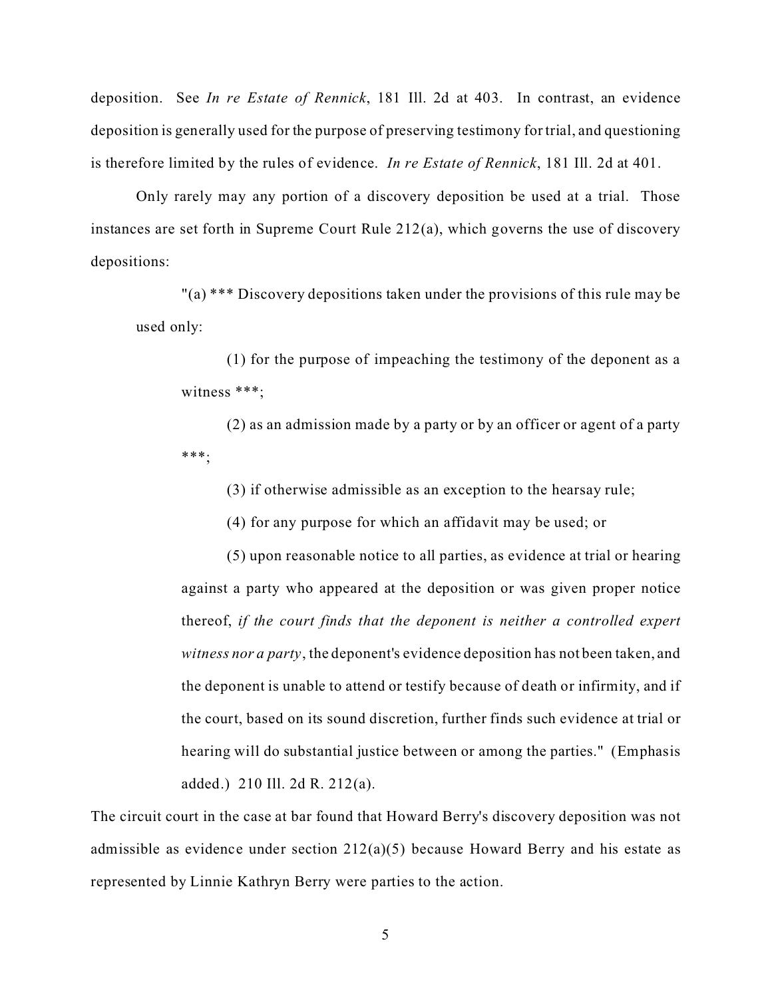deposition. See *In re Estate of Rennick*, 181 Ill. 2d at 403. In contrast, an evidence deposition is generally used for the purpose of preserving testimony for trial, and questioning is therefore limited by the rules of evidence. *In re Estate of Rennick*, 181 Ill. 2d at 401.

Only rarely may any portion of a discovery deposition be used at a trial. Those instances are set forth in Supreme Court Rule 212(a), which governs the use of discovery depositions:

"(a) \*\*\* Discovery depositions taken under the provisions of this rule may be used only:

(1) for the purpose of impeaching the testimony of the deponent as a witness \*\*\*;

(2) as an admission made by a party or by an officer or agent of a party \*\*\*;

(3) if otherwise admissible as an exception to the hearsay rule;

(4) for any purpose for which an affidavit may be used; or

(5) upon reasonable notice to all parties, as evidence at trial or hearing against a party who appeared at the deposition or was given proper notice thereof, *if the court finds that the deponent is neither a controlled expert witness nor a party*, the deponent's evidence deposition has not been taken, and the deponent is unable to attend or testify because of death or infirmity, and if the court, based on its sound discretion, further finds such evidence at trial or hearing will do substantial justice between or among the parties." (Emphasis added.) 210 Ill. 2d R. 212(a).

The circuit court in the case at bar found that Howard Berry's discovery deposition was not admissible as evidence under section 212(a)(5) because Howard Berry and his estate as represented by Linnie Kathryn Berry were parties to the action.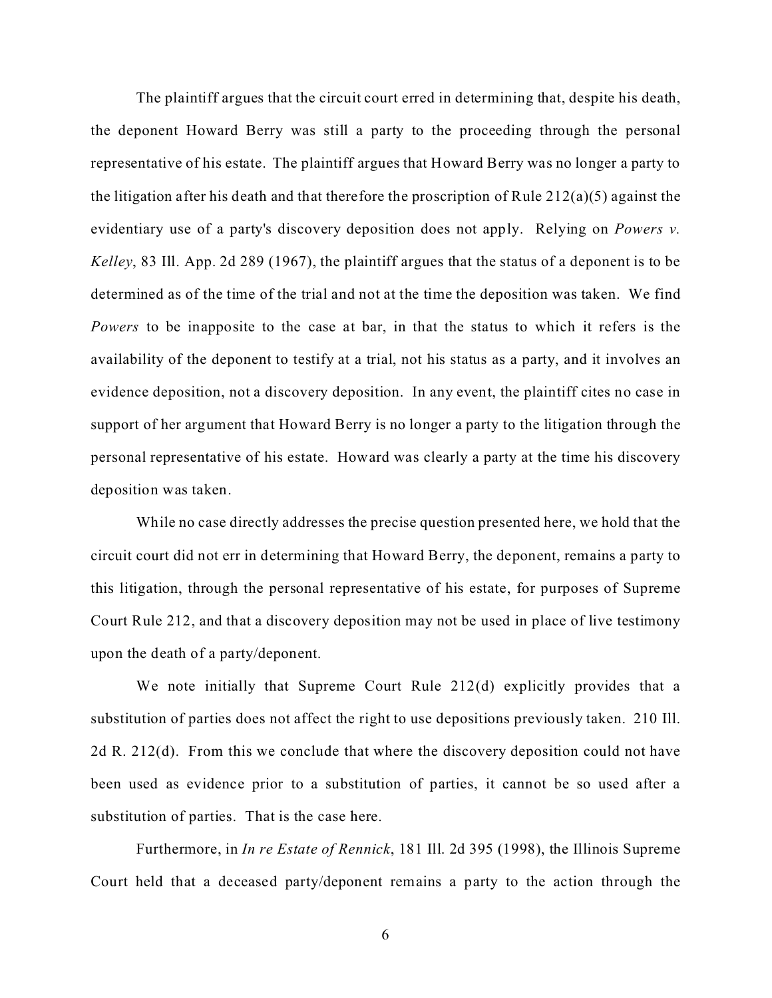The plaintiff argues that the circuit court erred in determining that, despite his death, the deponent Howard Berry was still a party to the proceeding through the personal representative of his estate. The plaintiff argues that Howard Berry was no longer a party to the litigation after his death and that therefore the proscription of Rule  $212(a)(5)$  against the evidentiary use of a party's discovery deposition does not apply. Relying on *Powers v. Kelley*, 83 Ill. App. 2d 289 (1967), the plaintiff argues that the status of a deponent is to be determined as of the time of the trial and not at the time the deposition was taken. We find *Powers* to be inapposite to the case at bar, in that the status to which it refers is the availability of the deponent to testify at a trial, not his status as a party, and it involves an evidence deposition, not a discovery deposition. In any event, the plaintiff cites no case in support of her argument that Howard Berry is no longer a party to the litigation through the personal representative of his estate. Howard was clearly a party at the time his discovery deposition was taken.

While no case directly addresses the precise question presented here, we hold that the circuit court did not err in determining that Howard Berry, the deponent, remains a party to this litigation, through the personal representative of his estate, for purposes of Supreme Court Rule 212, and that a discovery deposition may not be used in place of live testimony upon the death of a party/deponent.

We note initially that Supreme Court Rule 212(d) explicitly provides that a substitution of parties does not affect the right to use depositions previously taken. 210 Ill. 2d R. 212(d). From this we conclude that where the discovery deposition could not have been used as evidence prior to a substitution of parties, it cannot be so used after a substitution of parties. That is the case here.

Furthermore, in *In re Estate of Rennick*, 181 Ill. 2d 395 (1998), the Illinois Supreme Court held that a deceased party/deponent remains a party to the action through the

6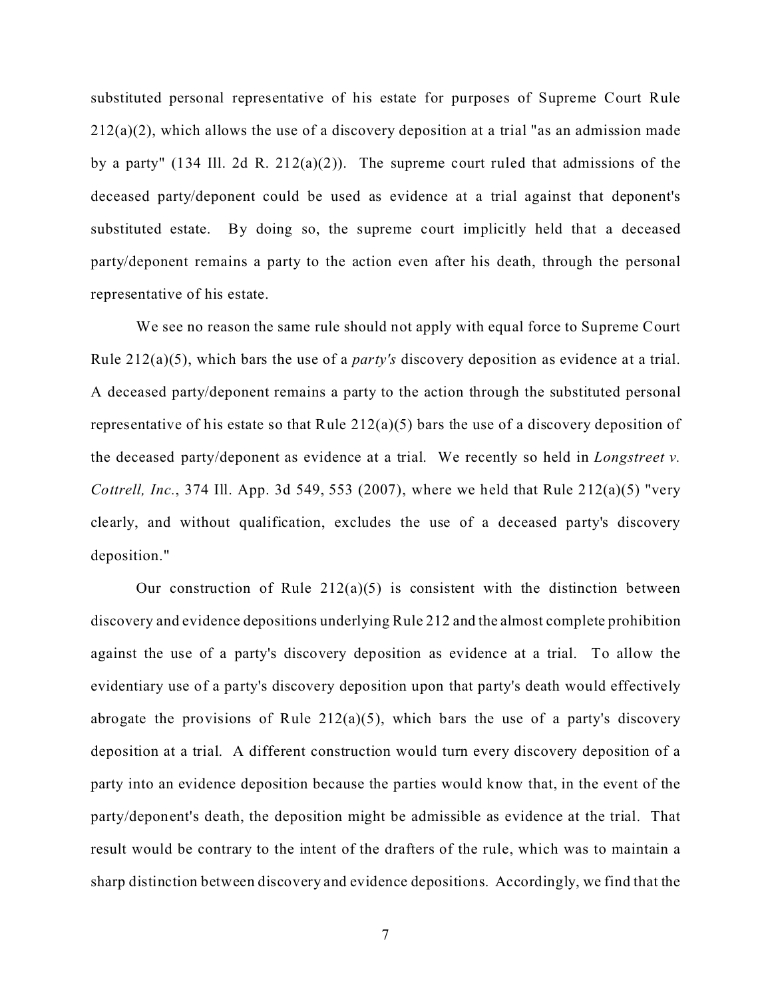substituted personal representative of his estate for purposes of Supreme Court Rule  $212(a)(2)$ , which allows the use of a discovery deposition at a trial "as an admission made by a party" (134 Ill. 2d R. 212(a)(2)). The supreme court ruled that admissions of the deceased party/deponent could be used as evidence at a trial against that deponent's substituted estate. By doing so, the supreme court implicitly held that a deceased party/deponent remains a party to the action even after his death, through the personal representative of his estate.

We see no reason the same rule should not apply with equal force to Supreme Court Rule 212(a)(5), which bars the use of a *party's* discovery deposition as evidence at a trial. A deceased party/deponent remains a party to the action through the substituted personal representative of his estate so that Rule 212(a)(5) bars the use of a discovery deposition of the deceased party/deponent as evidence at a trial. We recently so held in *Longstreet v. Cottrell, Inc.*, 374 Ill. App. 3d 549, 553 (2007), where we held that Rule 212(a)(5) "very clearly, and without qualification, excludes the use of a deceased party's discovery deposition."

Our construction of Rule  $212(a)(5)$  is consistent with the distinction between discovery and evidence depositions underlying Rule 212 and the almost complete prohibition against the use of a party's discovery deposition as evidence at a trial. To allow the evidentiary use of a party's discovery deposition upon that party's death would effectively abrogate the provisions of Rule  $212(a)(5)$ , which bars the use of a party's discovery deposition at a trial. A different construction would turn every discovery deposition of a party into an evidence deposition because the parties would know that, in the event of the party/deponent's death, the deposition might be admissible as evidence at the trial. That result would be contrary to the intent of the drafters of the rule, which was to maintain a sharp distinction between discovery and evidence depositions. Accordingly, we find that the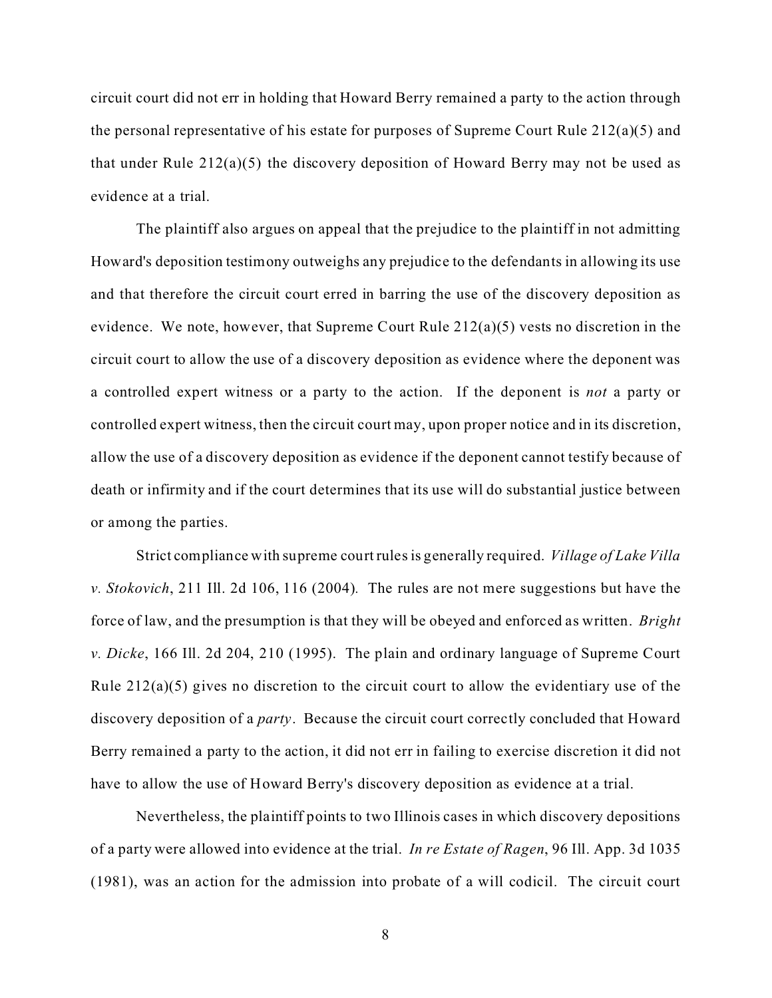circuit court did not err in holding that Howard Berry remained a party to the action through the personal representative of his estate for purposes of Supreme Court Rule 212(a)(5) and that under Rule 212(a)(5) the discovery deposition of Howard Berry may not be used as evidence at a trial.

The plaintiff also argues on appeal that the prejudice to the plaintiff in not admitting Howard's deposition testimony outweighs any prejudice to the defendants in allowing its use and that therefore the circuit court erred in barring the use of the discovery deposition as evidence. We note, however, that Supreme Court Rule 212(a)(5) vests no discretion in the circuit court to allow the use of a discovery deposition as evidence where the deponent was a controlled expert witness or a party to the action. If the deponent is *not* a party or controlled expert witness, then the circuit court may, upon proper notice and in its discretion, allow the use of a discovery deposition as evidence if the deponent cannot testify because of death or infirmity and if the court determines that its use will do substantial justice between or among the parties.

Strict compliance with supreme court rules is generally required. *Village of Lake Villa v. Stokovich*, 211 Ill. 2d 106, 116 (2004)*.* The rules are not mere suggestions but have the force of law, and the presumption is that they will be obeyed and enforced as written. *Bright v. Dicke*, 166 Ill. 2d 204, 210 (1995). The plain and ordinary language of Supreme Court Rule 212(a)(5) gives no discretion to the circuit court to allow the evidentiary use of the discovery deposition of a *party*. Because the circuit court correctly concluded that Howard Berry remained a party to the action, it did not err in failing to exercise discretion it did not have to allow the use of Howard Berry's discovery deposition as evidence at a trial.

Nevertheless, the plaintiff points to two Illinois cases in which discovery depositions of a party were allowed into evidence at the trial. *In re Estate of Ragen*, 96 Ill. App. 3d 1035 (1981), was an action for the admission into probate of a will codicil. The circuit court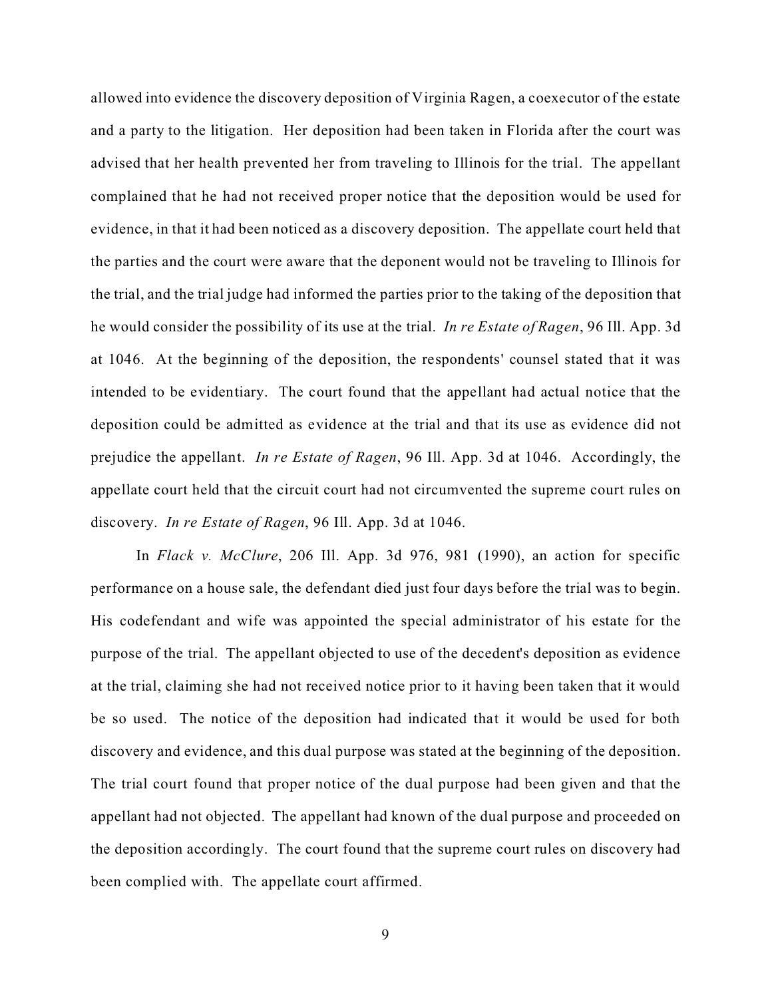allowed into evidence the discovery deposition of Virginia Ragen, a coexecutor of the estate and a party to the litigation. Her deposition had been taken in Florida after the court was advised that her health prevented her from traveling to Illinois for the trial. The appellant complained that he had not received proper notice that the deposition would be used for evidence, in that it had been noticed as a discovery deposition. The appellate court held that the parties and the court were aware that the deponent would not be traveling to Illinois for the trial, and the trial judge had informed the parties prior to the taking of the deposition that he would consider the possibility of its use at the trial. *In re Estate of Ragen*, 96 Ill. App. 3d at 1046. At the beginning of the deposition, the respondents' counsel stated that it was intended to be evidentiary. The court found that the appellant had actual notice that the deposition could be admitted as evidence at the trial and that its use as evidence did not prejudice the appellant. *In re Estate of Ragen*, 96 Ill. App. 3d at 1046. Accordingly, the appellate court held that the circuit court had not circumvented the supreme court rules on discovery. *In re Estate of Ragen*, 96 Ill. App. 3d at 1046.

In *Flack v. McClure*, 206 Ill. App. 3d 976, 981 (1990), an action for specific performance on a house sale, the defendant died just four days before the trial was to begin. His codefendant and wife was appointed the special administrator of his estate for the purpose of the trial. The appellant objected to use of the decedent's deposition as evidence at the trial, claiming she had not received notice prior to it having been taken that it would be so used. The notice of the deposition had indicated that it would be used for both discovery and evidence, and this dual purpose was stated at the beginning of the deposition. The trial court found that proper notice of the dual purpose had been given and that the appellant had not objected. The appellant had known of the dual purpose and proceeded on the deposition accordingly. The court found that the supreme court rules on discovery had been complied with. The appellate court affirmed.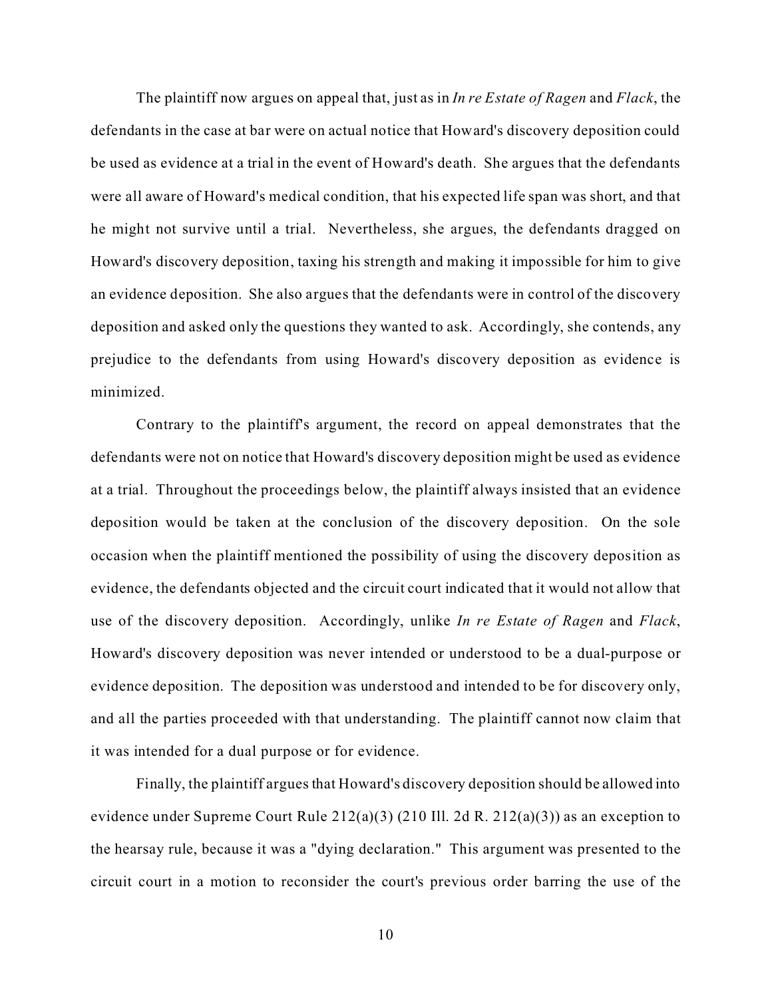The plaintiff now argues on appeal that, just as in *In re Estate of Ragen* and *Flack*, the defendants in the case at bar were on actual notice that Howard's discovery deposition could be used as evidence at a trial in the event of Howard's death. She argues that the defendants were all aware of Howard's medical condition, that his expected life span was short, and that he might not survive until a trial. Nevertheless, she argues, the defendants dragged on Howard's discovery deposition, taxing his strength and making it impossible for him to give an evidence deposition. She also argues that the defendants were in control of the discovery deposition and asked only the questions they wanted to ask. Accordingly, she contends, any prejudice to the defendants from using Howard's discovery deposition as evidence is minimized.

Contrary to the plaintiff's argument, the record on appeal demonstrates that the defendants were not on notice that Howard's discovery deposition might be used as evidence at a trial. Throughout the proceedings below, the plaintiff always insisted that an evidence deposition would be taken at the conclusion of the discovery deposition. On the sole occasion when the plaintiff mentioned the possibility of using the discovery deposition as evidence, the defendants objected and the circuit court indicated that it would not allow that use of the discovery deposition. Accordingly, unlike *In re Estate of Ragen* and *Flack*, Howard's discovery deposition was never intended or understood to be a dual-purpose or evidence deposition. The deposition was understood and intended to be for discovery only, and all the parties proceeded with that understanding. The plaintiff cannot now claim that it was intended for a dual purpose or for evidence.

Finally, the plaintiff argues that Howard's discovery deposition should be allowed into evidence under Supreme Court Rule 212(a)(3) (210 Ill. 2d R. 212(a)(3)) as an exception to the hearsay rule, because it was a "dying declaration." This argument was presented to the circuit court in a motion to reconsider the court's previous order barring the use of the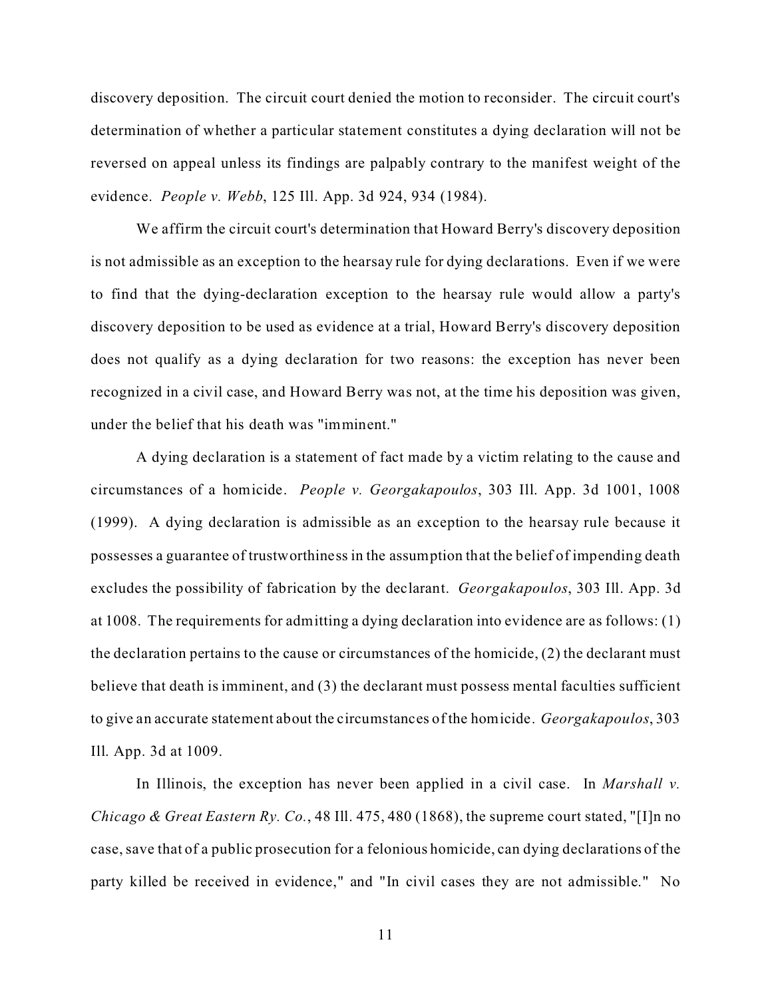discovery deposition. The circuit court denied the motion to reconsider. The circuit court's determination of whether a particular statement constitutes a dying declaration will not be reversed on appeal unless its findings are palpably contrary to the manifest weight of the evidence. *People v. Webb*, 125 Ill. App. 3d 924, 934 (1984).

We affirm the circuit court's determination that Howard Berry's discovery deposition is not admissible as an exception to the hearsay rule for dying declarations. Even if we were to find that the dying-declaration exception to the hearsay rule would allow a party's discovery deposition to be used as evidence at a trial, Howard Berry's discovery deposition does not qualify as a dying declaration for two reasons: the exception has never been recognized in a civil case, and Howard Berry was not, at the time his deposition was given, under the belief that his death was "imminent."

A dying declaration is a statement of fact made by a victim relating to the cause and circumstances of a homicide. *People v. Georgakapoulos*, 303 Ill. App. 3d 1001, 1008 (1999). A dying declaration is admissible as an exception to the hearsay rule because it possesses a guarantee of trustworthiness in the assumption that the belief of impending death excludes the possibility of fabrication by the declarant. *Georgakapoulos*, 303 Ill. App. 3d at 1008. The requirements for admitting a dying declaration into evidence are as follows: (1) the declaration pertains to the cause or circumstances of the homicide, (2) the declarant must believe that death is imminent, and (3) the declarant must possess mental faculties sufficient to give an accurate statement about the circumstances of the homicide. *Georgakapoulos*, 303 Ill. App. 3d at 1009.

In Illinois, the exception has never been applied in a civil case. In *Marshall v. Chicago & Great Eastern Ry. Co.*, 48 Ill. 475, 480 (1868), the supreme court stated, "[I]n no case, save that of a public prosecution for a felonious homicide, can dying declarations of the party killed be received in evidence," and "In civil cases they are not admissible." No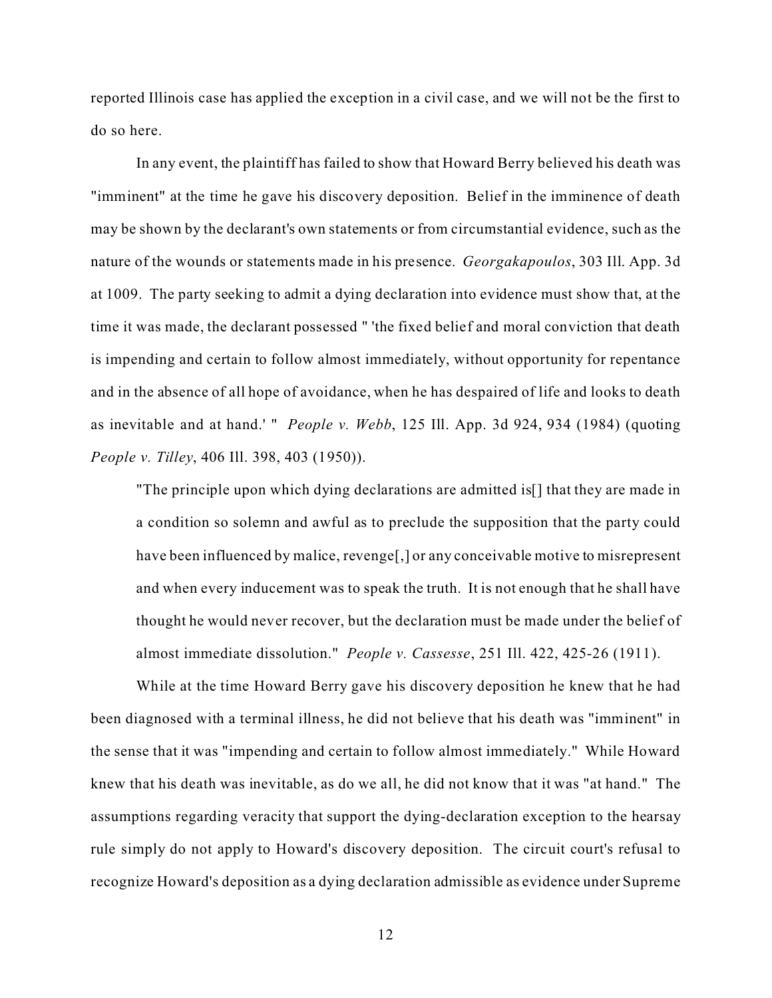reported Illinois case has applied the exception in a civil case, and we will not be the first to do so here.

In any event, the plaintiff has failed to show that Howard Berry believed his death was "imminent" at the time he gave his discovery deposition. Belief in the imminence of death may be shown by the declarant's own statements or from circumstantial evidence, such as the nature of the wounds or statements made in his presence. *Georgakapoulos*, 303 Ill. App. 3d at 1009. The party seeking to admit a dying declaration into evidence must show that, at the time it was made, the declarant possessed " 'the fixed belief and moral conviction that death is impending and certain to follow almost immediately, without opportunity for repentance and in the absence of all hope of avoidance, when he has despaired of life and looks to death as inevitable and at hand.' " *People v. Webb*, 125 Ill. App. 3d 924, 934 (1984) (quoting *People v. Tilley*, 406 Ill. 398, 403 (1950)).

"The principle upon which dying declarations are admitted is[] that they are made in a condition so solemn and awful as to preclude the supposition that the party could have been influenced by malice, revenge[,] or any conceivable motive to misrepresent and when every inducement was to speak the truth. It is not enough that he shall have thought he would never recover, but the declaration must be made under the belief of almost immediate dissolution." *People v. Cassesse*, 251 Ill. 422, 425-26 (1911).

While at the time Howard Berry gave his discovery deposition he knew that he had been diagnosed with a terminal illness, he did not believe that his death was "imminent" in the sense that it was "impending and certain to follow almost immediately." While Howard knew that his death was inevitable, as do we all, he did not know that it was "at hand." The assumptions regarding veracity that support the dying-declaration exception to the hearsay rule simply do not apply to Howard's discovery deposition. The circuit court's refusal to recognize Howard's deposition as a dying declaration admissible as evidence under Supreme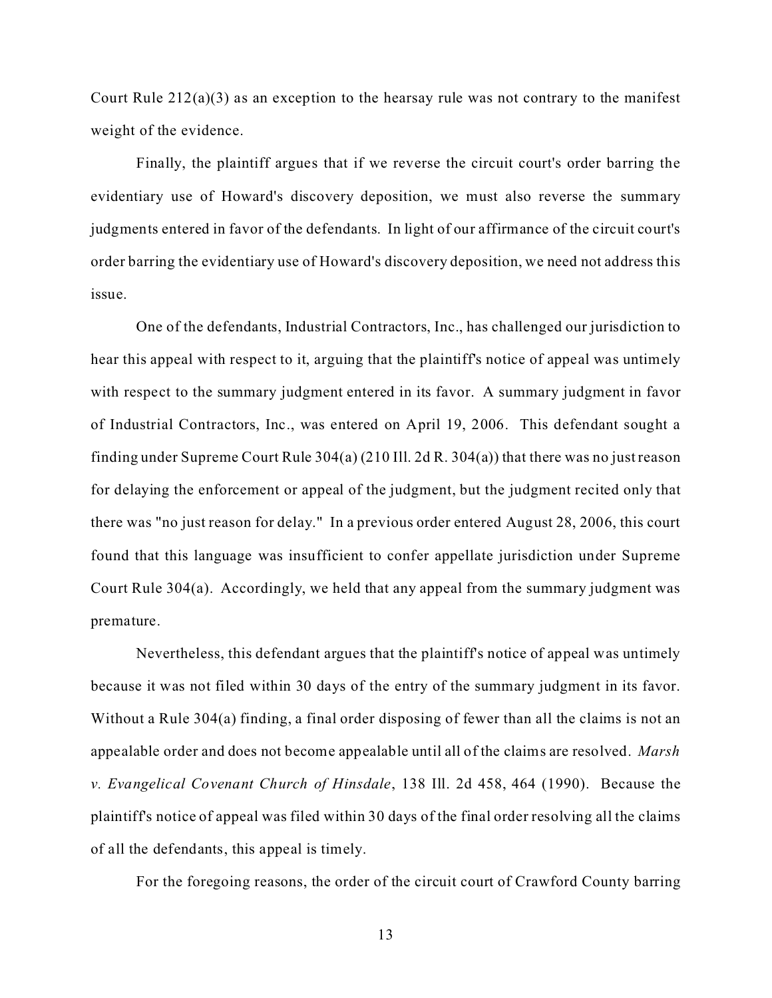Court Rule  $212(a)(3)$  as an exception to the hearsay rule was not contrary to the manifest weight of the evidence.

Finally, the plaintiff argues that if we reverse the circuit court's order barring the evidentiary use of Howard's discovery deposition, we must also reverse the summary judgments entered in favor of the defendants. In light of our affirmance of the circuit court's order barring the evidentiary use of Howard's discovery deposition, we need not address this issue.

One of the defendants, Industrial Contractors, Inc., has challenged our jurisdiction to hear this appeal with respect to it, arguing that the plaintiff's notice of appeal was untimely with respect to the summary judgment entered in its favor. A summary judgment in favor of Industrial Contractors, Inc., was entered on April 19, 2006. This defendant sought a finding under Supreme Court Rule 304(a) (210 Ill. 2d R. 304(a)) that there was no just reason for delaying the enforcement or appeal of the judgment, but the judgment recited only that there was "no just reason for delay." In a previous order entered August 28, 2006, this court found that this language was insufficient to confer appellate jurisdiction under Supreme Court Rule 304(a). Accordingly, we held that any appeal from the summary judgment was premature.

Nevertheless, this defendant argues that the plaintiff's notice of appeal was untimely because it was not filed within 30 days of the entry of the summary judgment in its favor. Without a Rule 304(a) finding, a final order disposing of fewer than all the claims is not an appealable order and does not become appealable until all of the claims are resolved. *Marsh v. Evangelical Covenant Church of Hinsdale*, 138 Ill. 2d 458, 464 (1990). Because the plaintiff's notice of appeal was filed within 30 days of the final order resolving all the claims of all the defendants, this appeal is timely.

For the foregoing reasons, the order of the circuit court of Crawford County barring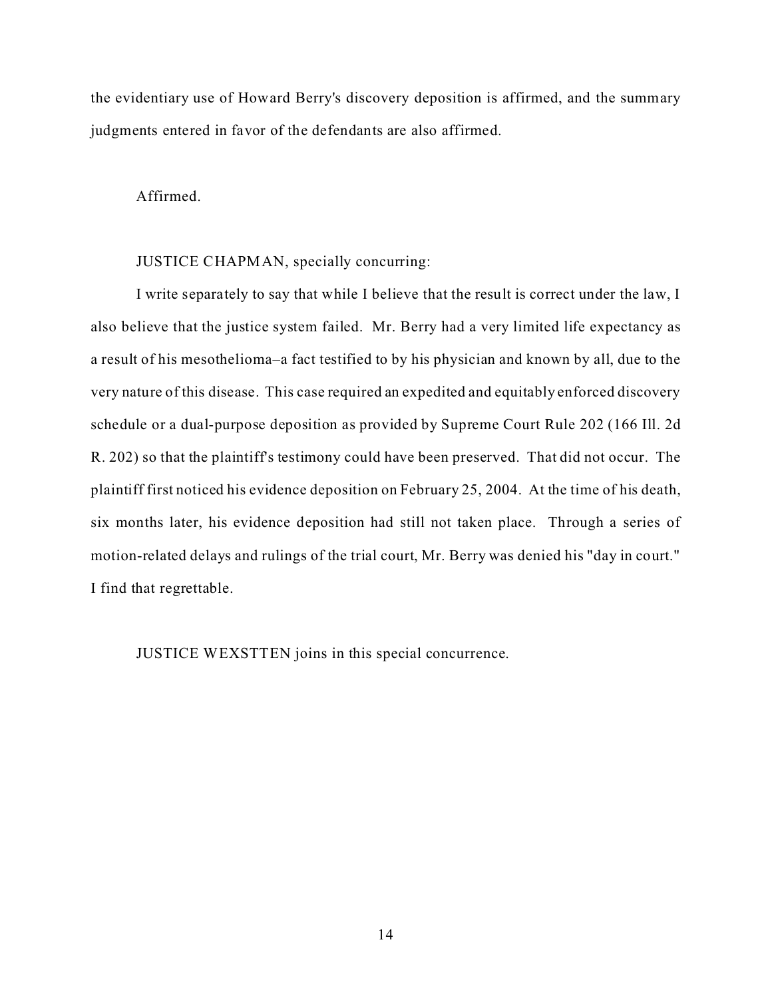the evidentiary use of Howard Berry's discovery deposition is affirmed, and the summary judgments entered in favor of the defendants are also affirmed.

## Affirmed.

## JUSTICE CHAPMAN, specially concurring:

I write separately to say that while I believe that the result is correct under the law, I also believe that the justice system failed. Mr. Berry had a very limited life expectancy as a result of his mesothelioma–a fact testified to by his physician and known by all, due to the very nature of this disease. This case required an expedited and equitably enforced discovery schedule or a dual-purpose deposition as provided by Supreme Court Rule 202 (166 Ill. 2d R. 202) so that the plaintiff's testimony could have been preserved. That did not occur. The plaintiff first noticed his evidence deposition on February 25, 2004. At the time of his death, six months later, his evidence deposition had still not taken place. Through a series of motion-related delays and rulings of the trial court, Mr. Berry was denied his "day in court." I find that regrettable.

JUSTICE WEXSTTEN joins in this special concurrence.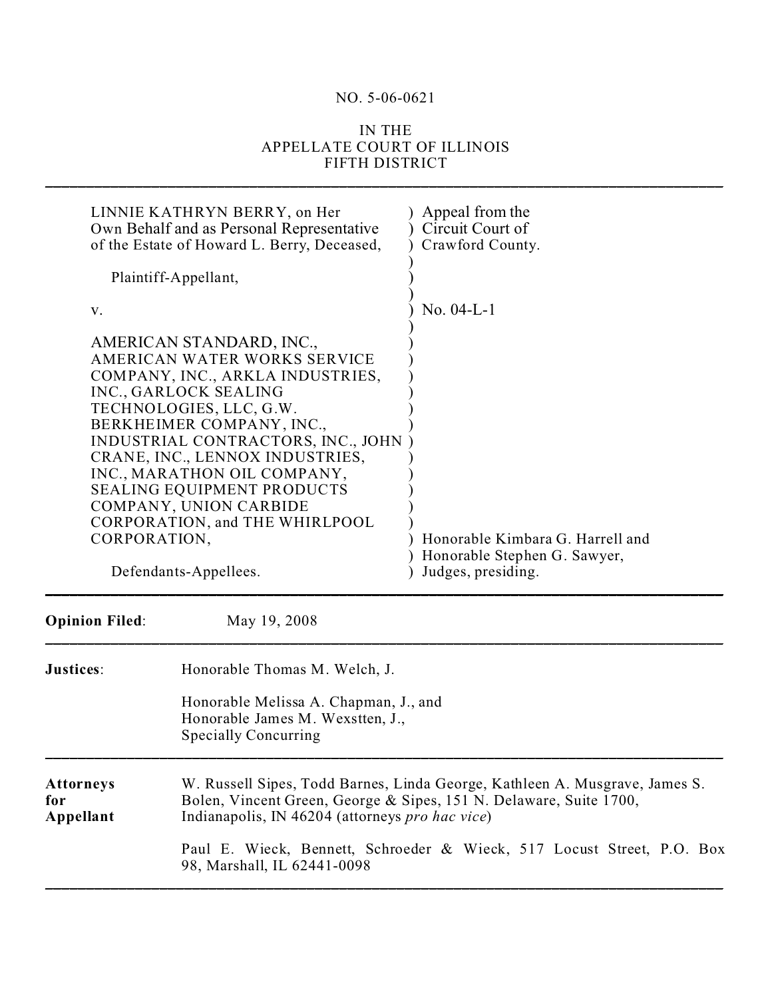## NO. 5-06-0621

## IN THE APPELLATE COURT OF ILLINOIS FIFTH DISTRICT

\_\_\_\_\_\_\_\_\_\_\_\_\_\_\_\_\_\_\_\_\_\_\_\_\_\_\_\_\_\_\_\_\_\_\_\_\_\_\_\_\_\_\_\_\_\_\_\_\_\_\_\_\_\_\_\_\_\_\_\_\_\_\_\_\_\_\_\_\_\_\_\_\_\_\_\_\_\_\_\_\_\_\_

| LINNIE KATHRYN BERRY, on Her<br>Own Behalf and as Personal Representative<br>of the Estate of Howard L. Berry, Deceased,                                                                                                                                                                                                                                                                                                        |                                                                                                                                                                                                                                                                                                               | Appeal from the<br>Circuit Court of<br>Crawford County.                                |  |
|---------------------------------------------------------------------------------------------------------------------------------------------------------------------------------------------------------------------------------------------------------------------------------------------------------------------------------------------------------------------------------------------------------------------------------|---------------------------------------------------------------------------------------------------------------------------------------------------------------------------------------------------------------------------------------------------------------------------------------------------------------|----------------------------------------------------------------------------------------|--|
| Plaintiff-Appellant,                                                                                                                                                                                                                                                                                                                                                                                                            |                                                                                                                                                                                                                                                                                                               |                                                                                        |  |
| V.                                                                                                                                                                                                                                                                                                                                                                                                                              |                                                                                                                                                                                                                                                                                                               | No. $04-L-1$                                                                           |  |
| AMERICAN STANDARD, INC.,<br>AMERICAN WATER WORKS SERVICE<br>COMPANY, INC., ARKLA INDUSTRIES,<br>INC., GARLOCK SEALING<br>TECHNOLOGIES, LLC, G.W.<br>BERKHEIMER COMPANY, INC.,<br>INDUSTRIAL CONTRACTORS, INC., JOHN<br>CRANE, INC., LENNOX INDUSTRIES,<br>INC., MARATHON OIL COMPANY,<br><b>SEALING EQUIPMENT PRODUCTS</b><br>COMPANY, UNION CARBIDE<br>CORPORATION, and THE WHIRLPOOL<br>CORPORATION,<br>Defendants-Appellees. |                                                                                                                                                                                                                                                                                                               | Honorable Kimbara G. Harrell and<br>Honorable Stephen G. Sawyer,<br>Judges, presiding. |  |
| <b>Opinion Filed:</b>                                                                                                                                                                                                                                                                                                                                                                                                           | May 19, 2008                                                                                                                                                                                                                                                                                                  |                                                                                        |  |
| Justices:                                                                                                                                                                                                                                                                                                                                                                                                                       | Honorable Thomas M. Welch, J.<br>Honorable Melissa A. Chapman, J., and<br>Honorable James M. Wexstten, J.,<br><b>Specially Concurring</b>                                                                                                                                                                     |                                                                                        |  |
| Attorneys<br>for<br>Appellant                                                                                                                                                                                                                                                                                                                                                                                                   | W. Russell Sipes, Todd Barnes, Linda George, Kathleen A. Musgrave, James S.<br>Bolen, Vincent Green, George & Sipes, 151 N. Delaware, Suite 1700,<br>Indianapolis, IN 46204 (attorneys pro hac vice)<br>Paul E. Wieck, Bennett, Schroeder & Wieck, 517 Locust Street, P.O. Box<br>98, Marshall, IL 62441-0098 |                                                                                        |  |